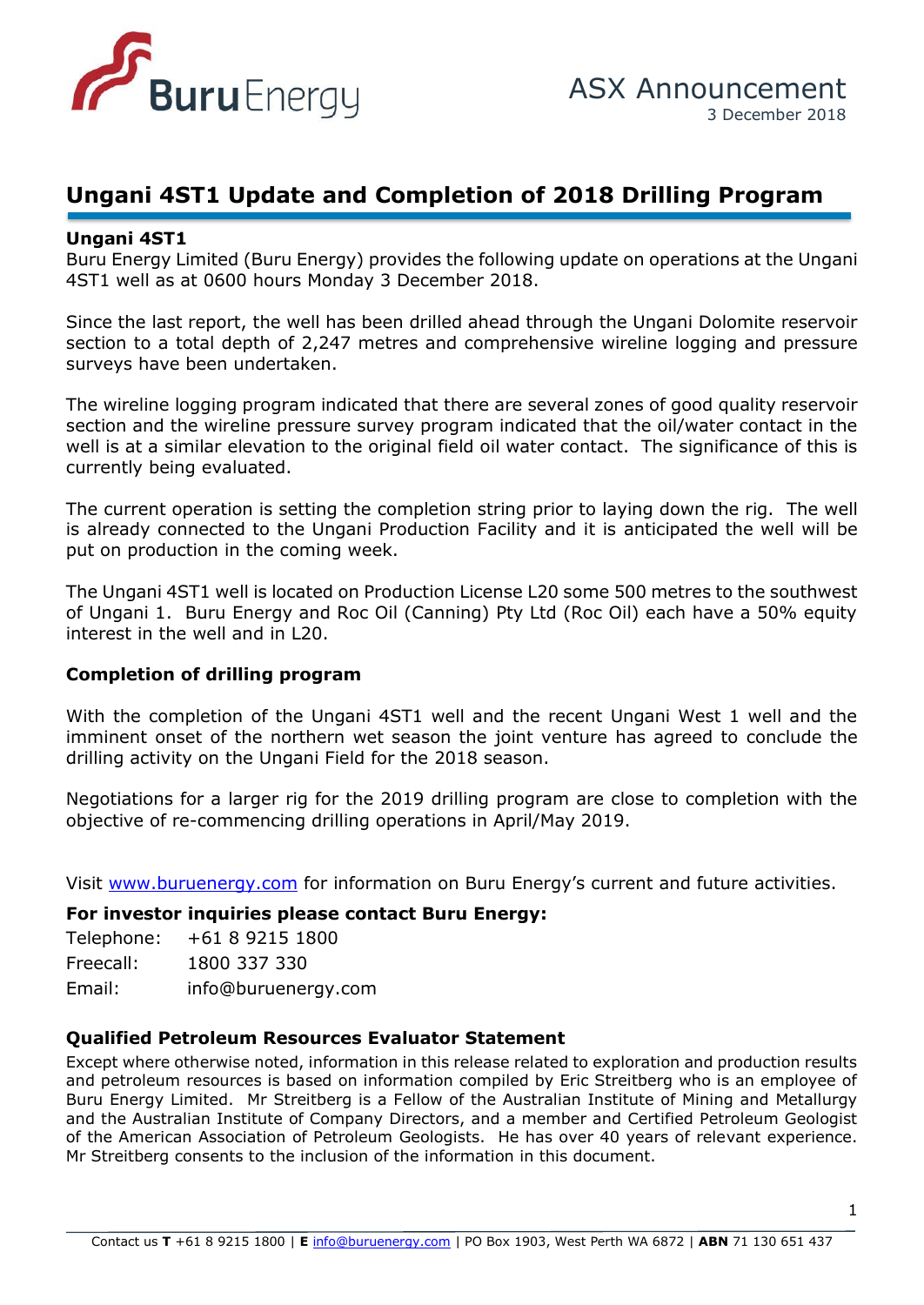

## **Ungani 4ST1 Update and Completion of 2018 Drilling Program**

### **Ungani 4ST1**

Buru Energy Limited (Buru Energy) provides the following update on operations at the Ungani 4ST1 well as at 0600 hours Monday 3 December 2018.

surveys have been undertaken. Since the last report, the well has been drilled ahead through the Ungani Dolomite reservoir section to a total depth of 2,247 metres and comprehensive wireline logging and pressure

The wireline logging program indicated that there are several zones of good quality reservoir section and the wireline pressure survey program indicated that the oil/water contact in the well is at a similar elevation to the original field oil water contact. The significance of this is currently being evaluated.

The current operation is setting the completion string prior to laying down the rig. The well is already connected to the Ungani Production Facility and it is anticipated the well will be put on production in the coming week.

The Ungani 4ST1 well is located on Production License L20 some 500 metres to the southwest of Ungani 1. Buru Energy and Roc Oil (Canning) Pty Ltd (Roc Oil) each have a 50% equity interest in the well and in L20.

### **Completion of drilling program**

With the completion of the Ungani 4ST1 well and the recent Ungani West 1 well and the imminent onset of the northern wet season the joint venture has agreed to conclude the drilling activity on the Ungani Field for the 2018 season.

Negotiations for a larger rig for the 2019 drilling program are close to completion with the objective of re-commencing drilling operations in April/May 2019.

Visit [www.buruenergy.com](http://www.buruenergy.com/) for information on Buru Energy's current and future activities.

### **For investor inquiries please contact Buru Energy:**

| Telephone:       | +61 8 9215 1800     |
|------------------|---------------------|
| Freecall:        | 1800 337 330        |
| $Fm$ sil $\cdot$ | info@huruanargy cor |

Email: [info@buruenergy.com](mailto:info@buruenergy.com)

### **Qualified Petroleum Resources Evaluator Statement**

Except where otherwise noted, information in this release related to exploration and production results and petroleum resources is based on information compiled by Eric Streitberg who is an employee of Buru Energy Limited. Mr Streitberg is a Fellow of the Australian Institute of Mining and Metallurgy and the Australian Institute of Company Directors, and a member and Certified Petroleum Geologist of the American Association of Petroleum Geologists. He has over 40 years of relevant experience. Mr Streitberg consents to the inclusion of the information in this document.